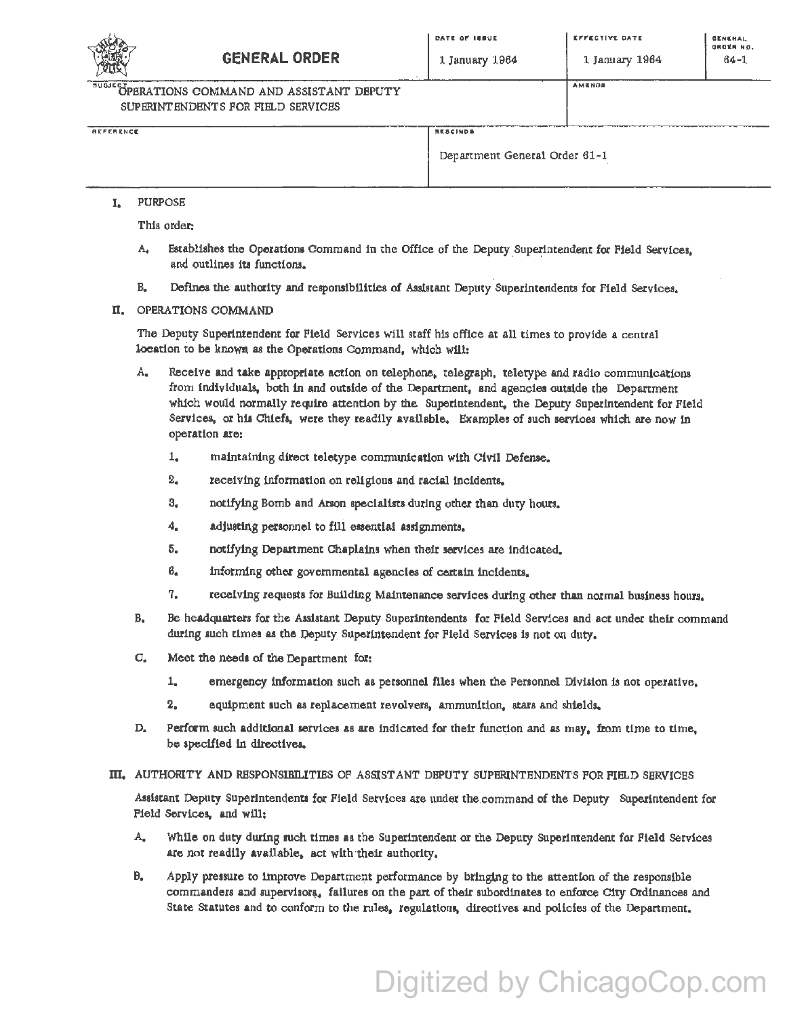

1 January 1964

**AMENDS** 

OPERATIONS COMMAND AND ASSISTANT DEPUTY SUPERINTENDENTS FOR FIELD SERVICES

REFERENCE

RESCINDS

Department General Order 61-1

## **PURPOSE** L.

This order:

- $A_{\bullet}$ Establishes the Operations Command in the Office of the Deputy Superintendent for Field Services. and outlines its functions.
- $B<sub>z</sub>$ Defines the authority and responsibilities of Assistant Deputy Superintendents for Field Services.

## II. OPERATIONS COMMAND

The Deputy Superintendent for Field Services will staff his office at all times to provide a central location to be known as the Operations Command, which will:

- А. Receive and take appropriate action on telephone, telegraph, teletype and radio communications from individuals, both in and outside of the Department, and agencies outside the Department which would normally require attention by the Superintendent, the Deputy Superintendent for Field Services, or his Chiefs, were they readily available. Examples of such services which are now in operation are:
	- $1.$ maintaining direct teletype communication with Civil Defense.
	- $2<sub>o</sub>$ receiving information on religious and racial incidents.
	- $3.$ notifying Bomb and Arson specialists during other than duty hours.
	- 4. adjusting personnel to fill essential assignments,
	- 5. notifying Department Chaplains when their services are indicated.
	- $6.$ informing other governmental agencies of certain incidents.
	- 7. receiving requests for Building Maintenance services during other than normal business hours.
- **B.** Be headquarters for the Assistant Deputy Superintendents for Field Services and act under their command during such times as the Deputy Superintendent for Field Services is not on duty,
- Meet the needs of the Department for:  $\mathbf{C}_{\bullet}$ 
	- $1.$ emergency information such as personnel files when the Personnel Division is not operative,
	- $2.$ equipment such as replacement revolvers, ammunition, stars and shields,
- D. Perform such additional services as are indicated for their function and as may, from time to time, be specified in directives.
- III. AUTHORITY AND RESPONSIBILITIES OF ASSISTANT DEPUTY SUPERINTENDENTS FOR FIELD SERVICES

Assistant Deputy Superintendents for Field Services are under the command of the Deputy Superintendent for Field Services, and will:

- A. While on duty during such times as the Superintendent or the Deputy Superintendent for Field Services are not readily available, act with their authority.
- B. Apply pressure to improve Department performance by bringing to the attention of the responsible commanders and supervisors, failures on the part of their subordinates to enforce City Ordinances and State Statutes and to conform to the rules, regulations, directives and policies of the Department.